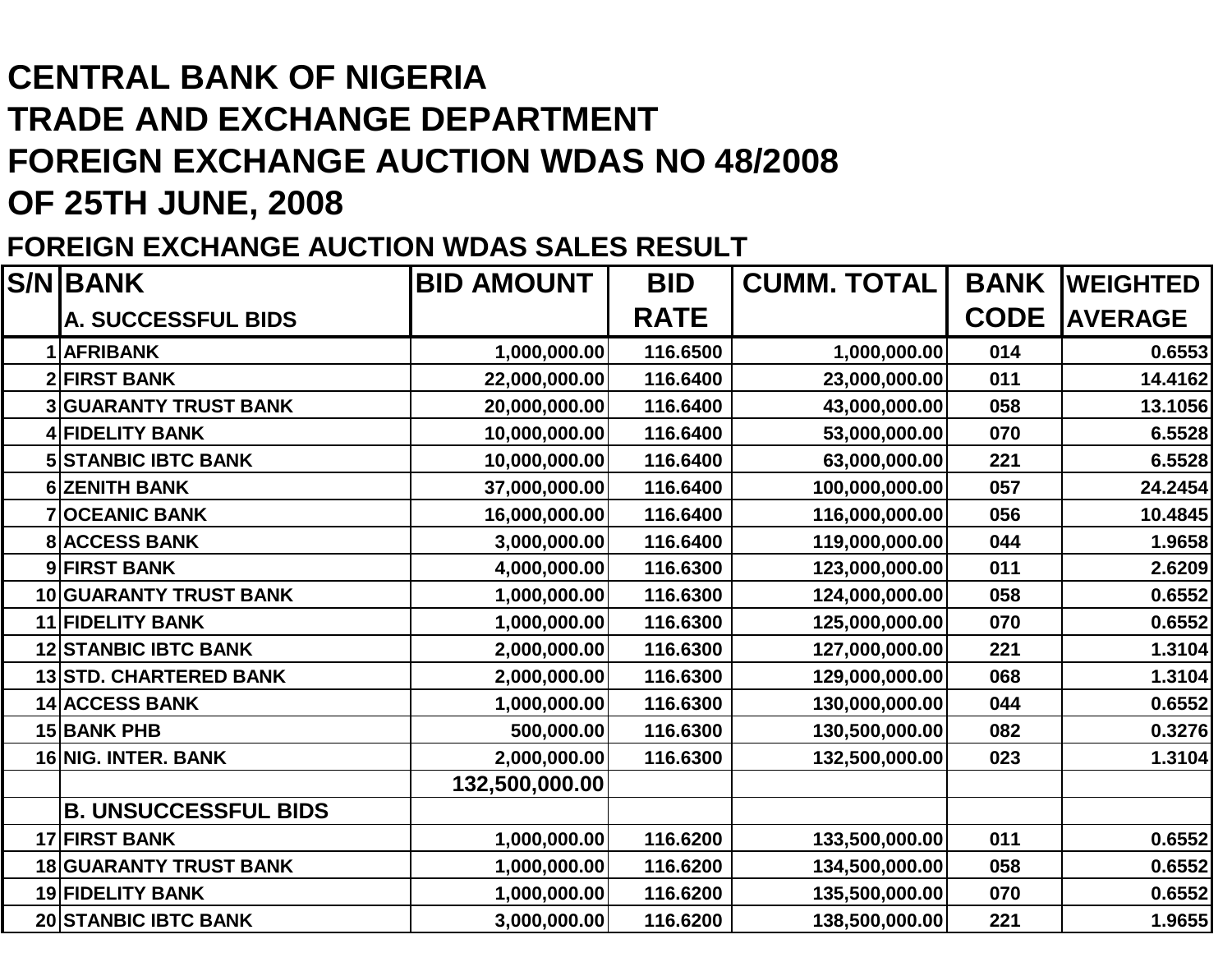# **CENTRAL BANK OF NIGERIA TRADE AND EXCHANGE DEPARTMENT FOREIGN EXCHANGE AUCTION WDAS NO 48/2008OF 25TH JUNE, 2008**

#### **FOREIGN EXCHANGE AUCTION WDAS SALES RESULT**

| <b>S/N BANK</b>               | <b>BID AMOUNT</b> | <b>BID</b>  | <b>CUMM. TOTAL</b> | <b>BANK</b> | <b>WEIGHTED</b> |
|-------------------------------|-------------------|-------------|--------------------|-------------|-----------------|
| <b>A. SUCCESSFUL BIDS</b>     |                   | <b>RATE</b> |                    | <b>CODE</b> | <b>AVERAGE</b>  |
| 1 AFRIBANK                    | 1,000,000.00      | 116.6500    | 1,000,000.00       | 014         | 0.6553          |
| <b>2 FIRST BANK</b>           | 22,000,000.00     | 116.6400    | 23,000,000.00      | 011         | 14.4162         |
| <b>3 GUARANTY TRUST BANK</b>  | 20,000,000.00     | 116.6400    | 43,000,000.00      | 058         | 13.1056         |
| 4 FIDELITY BANK               | 10,000,000.00     | 116.6400    | 53,000,000.00      | 070         | 6.5528          |
| <b>5 STANBIC IBTC BANK</b>    | 10,000,000.00     | 116.6400    | 63,000,000.00      | 221         | 6.5528          |
| 6 ZENITH BANK                 | 37,000,000.00     | 116.6400    | 100,000,000.00     | 057         | 24.2454         |
| <b>7OCEANIC BANK</b>          | 16,000,000.00     | 116.6400    | 116,000,000.00     | 056         | 10.4845         |
| <b>8 ACCESS BANK</b>          | 3,000,000.00      | 116.6400    | 119,000,000.00     | 044         | 1.9658          |
| 9 FIRST BANK                  | 4,000,000.00      | 116.6300    | 123,000,000.00     | 011         | 2.6209          |
| <b>10 GUARANTY TRUST BANK</b> | 1,000,000.00      | 116.6300    | 124,000,000.00     | 058         | 0.6552          |
| <b>11 FIDELITY BANK</b>       | 1,000,000.00      | 116.6300    | 125,000,000.00     | 070         | 0.6552          |
| <b>12 STANBIC IBTC BANK</b>   | 2,000,000.00      | 116.6300    | 127,000,000.00     | 221         | 1.3104          |
| <b>13 STD. CHARTERED BANK</b> | 2,000,000.00      | 116.6300    | 129,000,000.00     | 068         | 1.3104          |
| <b>14 ACCESS BANK</b>         | 1,000,000.00      | 116.6300    | 130,000,000.00     | 044         | 0.6552          |
| <b>15 BANK PHB</b>            | 500,000.00        | 116.6300    | 130,500,000.00     | 082         | 0.3276          |
| 16 NIG. INTER. BANK           | 2,000,000.00      | 116.6300    | 132,500,000.00     | 023         | 1.3104          |
|                               | 132,500,000.00    |             |                    |             |                 |
| <b>B. UNSUCCESSFUL BIDS</b>   |                   |             |                    |             |                 |
| <b>17 FIRST BANK</b>          | 1,000,000.00      | 116.6200    | 133,500,000.00     | 011         | 0.6552          |
| <b>18 GUARANTY TRUST BANK</b> | 1,000,000.00      | 116.6200    | 134,500,000.00     | 058         | 0.6552          |
| <b>19 FIDELITY BANK</b>       | 1,000,000.00      | 116.6200    | 135,500,000.00     | 070         | 0.6552          |
| <b>20 STANBIC IBTC BANK</b>   | 3,000,000.00      | 116.6200    | 138,500,000.00     | 221         | 1.9655          |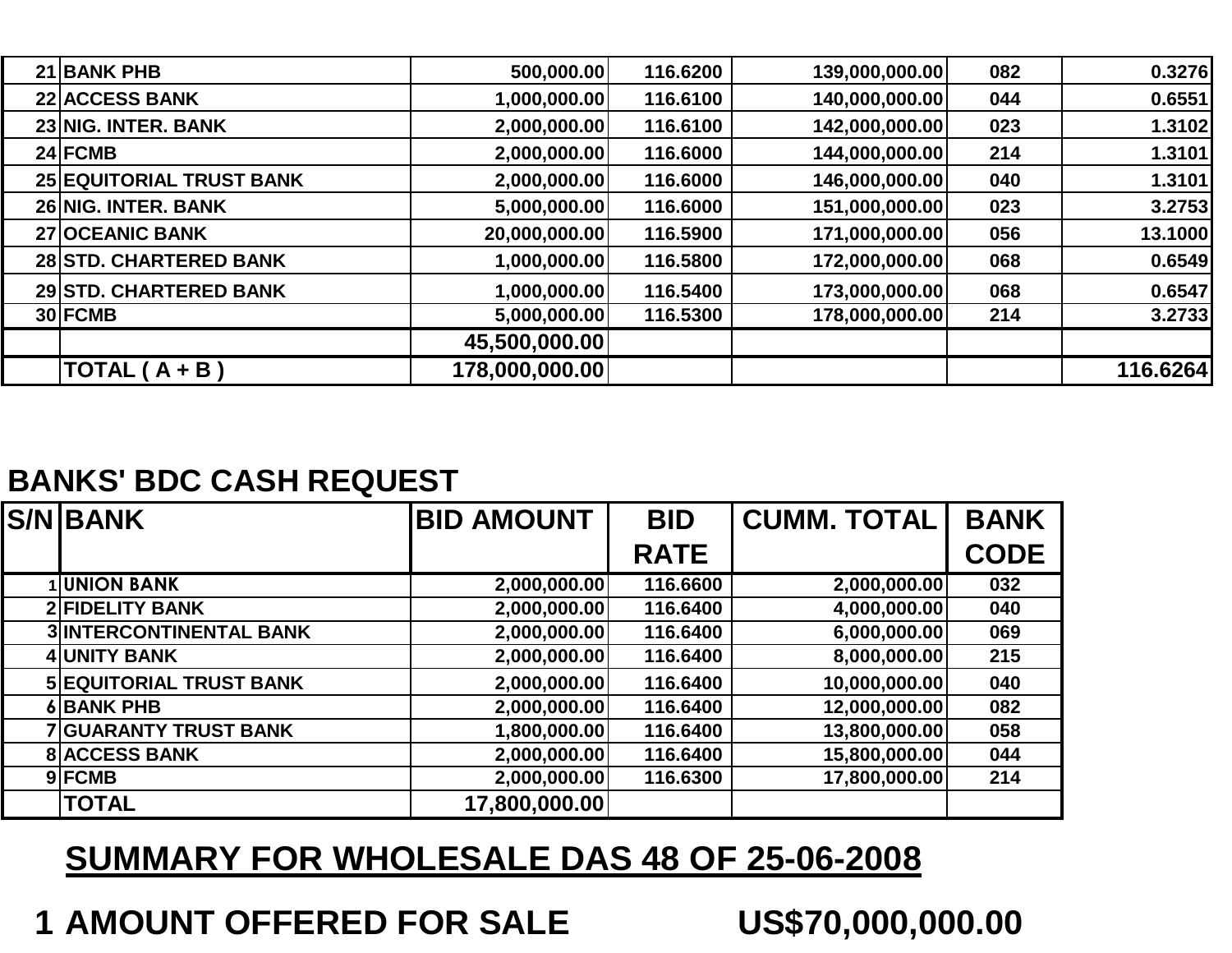| 21 BANK PHB                     | 500,000.00     | 116.6200 | 139,000,000.00 | 082 | 0.3276   |
|---------------------------------|----------------|----------|----------------|-----|----------|
| <b>22 ACCESS BANK</b>           | 1,000,000.00   | 116.6100 | 140,000,000.00 | 044 | 0.6551   |
| 23 NIG. INTER. BANK             | 2,000,000.00   | 116.6100 | 142,000,000.00 | 023 | 1.3102   |
| 24 FCMB                         | 2,000,000.00   | 116.6000 | 144,000,000.00 | 214 | 1.3101   |
| <b>25 EQUITORIAL TRUST BANK</b> | 2,000,000.00   | 116.6000 | 146,000,000.00 | 040 | 1.3101   |
| 26 NIG. INTER. BANK             | 5,000,000.00   | 116.6000 | 151,000,000.00 | 023 | 3.2753   |
| <b>27 OCEANIC BANK</b>          | 20,000,000.00  | 116.5900 | 171,000,000.00 | 056 | 13.1000  |
| 28 STD. CHARTERED BANK          | 1,000,000.00   | 116.5800 | 172,000,000.00 | 068 | 0.6549   |
| <b>29 STD. CHARTERED BANK</b>   | 1,000,000.00   | 116.5400 | 173,000,000.00 | 068 | 0.6547   |
| 30 FCMB                         | 5,000,000.00   | 116.5300 | 178,000,000.00 | 214 | 3.2733   |
|                                 | 45,500,000.00  |          |                |     |          |
| TOTAL $(A + B)$                 | 178,000,000.00 |          |                |     | 116.6264 |
|                                 |                |          |                |     |          |

#### **BANKS' BDC CASH REQUEST**

| <b>S/NIBANK</b>                | <b>BID AMOUNT</b> | <b>BID</b>  | <b>CUMM. TOTAL</b> | <b>BANK</b> |
|--------------------------------|-------------------|-------------|--------------------|-------------|
|                                |                   | <b>RATE</b> |                    | <b>CODE</b> |
| <b>UNION BANK</b>              | 2,000,000.00      | 116.6600    | 2,000,000.00       | 032         |
| <b>2 FIDELITY BANK</b>         | 2,000,000.00      | 116.6400    | 4,000,000.00       | 040         |
| <b>3 INTERCONTINENTAL BANK</b> | 2,000,000.00      | 116.6400    | 6,000,000.00       | 069         |
| 4 UNITY BANK                   | 2,000,000.00      | 116.6400    | 8,000,000.00       | 215         |
| <b>5 EQUITORIAL TRUST BANK</b> | 2,000,000.00      | 116.6400    | 10,000,000.00      | 040         |
| 6 BANK PHB                     | 2,000,000.00      | 116.6400    | 12,000,000.00      | 082         |
| <b>7 GUARANTY TRUST BANK</b>   | 1,800,000.00      | 116.6400    | 13,800,000.00      | 058         |
| <b>8 ACCESS BANK</b>           | 2,000,000.00      | 116.6400    | 15,800,000.00      | 044         |
| 9 FCMB                         | 2,000,000.00      | 116.6300    | 17,800,000.00      | 214         |
| <b>TOTAL</b>                   | 17,800,000.00     |             |                    |             |

## **SUMMARY FOR WHOLESALE DAS 48 OF 25-06-2008**

# **<sup>1</sup> AMOUNT OFFERED FOR SALE US\$70,000,000.00**